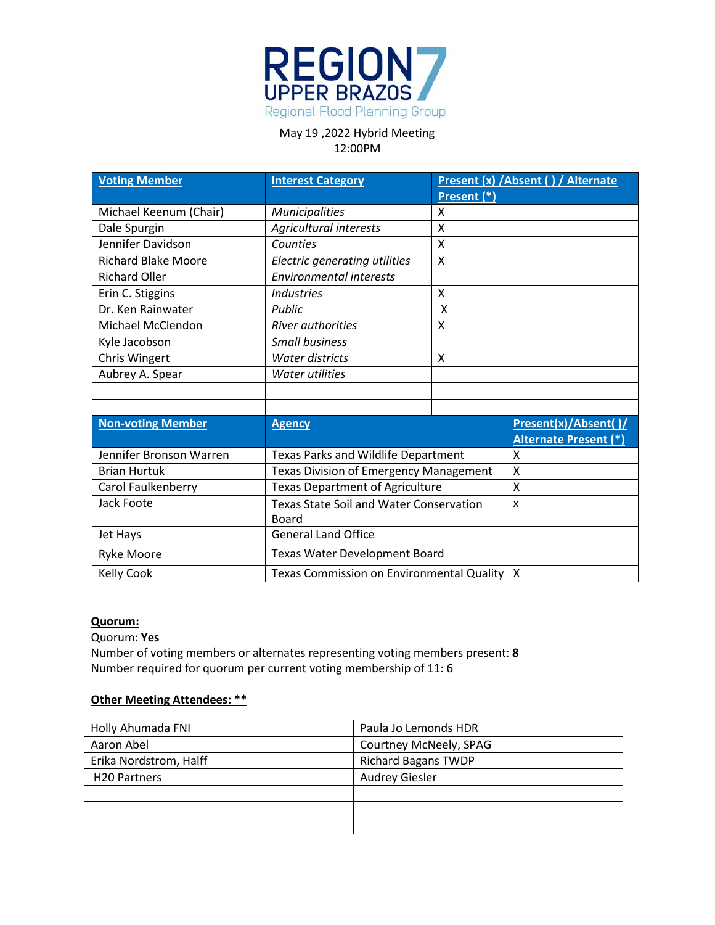

| <b>Voting Member</b>       | <b>Interest Category</b>                       |             | Present (x) / Absent () / Alternate |
|----------------------------|------------------------------------------------|-------------|-------------------------------------|
|                            |                                                | Present (*) |                                     |
| Michael Keenum (Chair)     | <b>Municipalities</b>                          | x           |                                     |
| Dale Spurgin               | Agricultural interests                         | X           |                                     |
| Jennifer Davidson          | Counties                                       | X           |                                     |
| <b>Richard Blake Moore</b> | Electric generating utilities                  | X           |                                     |
| <b>Richard Oller</b>       | <b>Environmental interests</b>                 |             |                                     |
| Erin C. Stiggins           | <b>Industries</b>                              | X           |                                     |
| Dr. Ken Rainwater          | Public                                         | X           |                                     |
| Michael McClendon          | <b>River authorities</b>                       | X           |                                     |
| Kyle Jacobson              | <b>Small business</b>                          |             |                                     |
| Chris Wingert              | <b>Water districts</b>                         | X           |                                     |
| Aubrey A. Spear            | <b>Water utilities</b>                         |             |                                     |
|                            |                                                |             |                                     |
|                            |                                                |             |                                     |
| <b>Non-voting Member</b>   | <b>Agency</b>                                  |             | Present(x)/Absent()/                |
|                            |                                                |             | <b>Alternate Present (*)</b>        |
| Jennifer Bronson Warren    | Texas Parks and Wildlife Department            |             | X                                   |
| <b>Brian Hurtuk</b>        | <b>Texas Division of Emergency Management</b>  |             | X                                   |
| Carol Faulkenberry         | <b>Texas Department of Agriculture</b>         |             | X                                   |
| Jack Foote                 | <b>Texas State Soil and Water Conservation</b> |             | X                                   |
|                            | Board                                          |             |                                     |
| Jet Hays                   | <b>General Land Office</b>                     |             |                                     |
| <b>Ryke Moore</b>          | Texas Water Development Board                  |             |                                     |
| <b>Kelly Cook</b>          | Texas Commission on Environmental Quality<br>X |             |                                     |

#### **Quorum:**

Quorum: **Yes**

Number of voting members or alternates representing voting members present: **8** Number required for quorum per current voting membership of 11: 6

### **Other Meeting Attendees: \*\***

| Holly Ahumada FNI      | Paula Jo Lemonds HDR       |
|------------------------|----------------------------|
| Aaron Abel             | Courtney McNeely, SPAG     |
| Erika Nordstrom, Halff | <b>Richard Bagans TWDP</b> |
| <b>H20 Partners</b>    | <b>Audrey Giesler</b>      |
|                        |                            |
|                        |                            |
|                        |                            |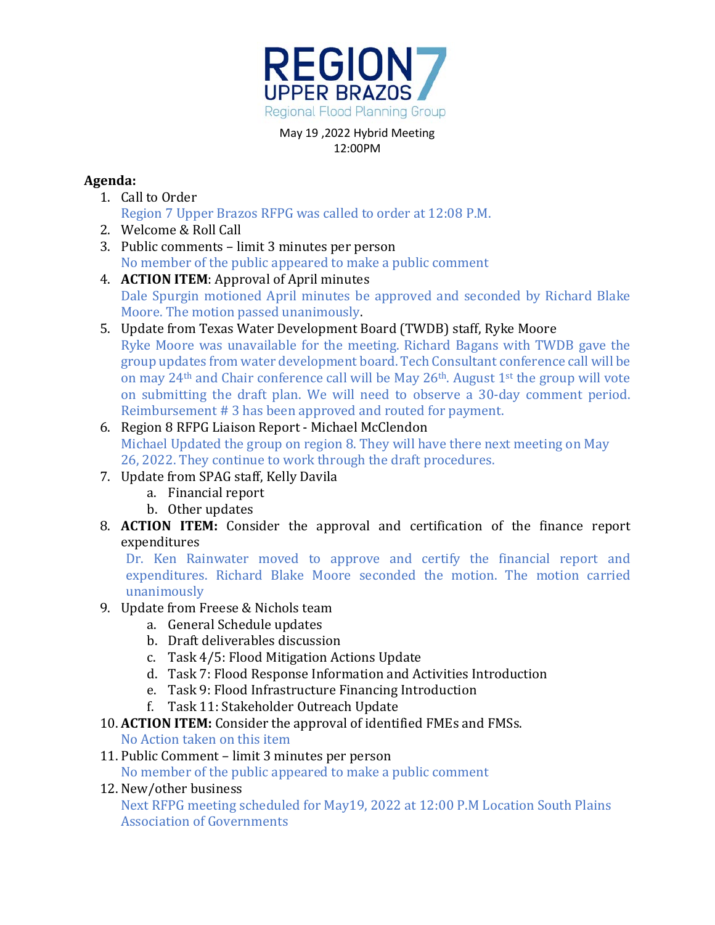

# **Agenda:**

- 1. Call to Order Region 7 Upper Brazos RFPG was called to order at 12:08 P.M.
- 2. Welcome & Roll Call
- 3. Public comments limit 3 minutes per person No member of the public appeared to make a public comment
- 4. **ACTION ITEM**: Approval of April minutes Dale Spurgin motioned April minutes be approved and seconded by Richard Blake Moore. The motion passed unanimously.
- 5. Update from Texas Water Development Board (TWDB) staff, Ryke Moore Ryke Moore was unavailable for the meeting. Richard Bagans with TWDB gave the group updates from water development board. Tech Consultant conference call will be on may  $24<sup>th</sup>$  and Chair conference call will be May  $26<sup>th</sup>$ . August 1<sup>st</sup> the group will vote on submitting the draft plan. We will need to observe a 30-day comment period. Reimbursement # 3 has been approved and routed for payment.
- 6. Region 8 RFPG Liaison Report Michael McClendon Michael Updated the group on region 8. They will have there next meeting on May 26, 2022. They continue to work through the draft procedures.
- 7. Update from SPAG staff, Kelly Davila
	- a. Financial report
	- b. Other updates
- 8. **ACTION ITEM:** Consider the approval and certification of the finance report expenditures

Dr. Ken Rainwater moved to approve and certify the financial report and expenditures. Richard Blake Moore seconded the motion. The motion carried unanimously

- 9. Update from Freese & Nichols team
	- a. General Schedule updates
	- b. Draft deliverables discussion
	- c. Task 4/5: Flood Mitigation Actions Update
	- d. Task 7: Flood Response Information and Activities Introduction
	- e. Task 9: Flood Infrastructure Financing Introduction
	- f. Task 11: Stakeholder Outreach Update

# 10. **ACTION ITEM:** Consider the approval of identified FMEs and FMSs.

No Action taken on this item

11. Public Comment – limit 3 minutes per person

No member of the public appeared to make a public comment

12. New/other business

Next RFPG meeting scheduled for May19, 2022 at 12:00 P.M Location South Plains Association of Governments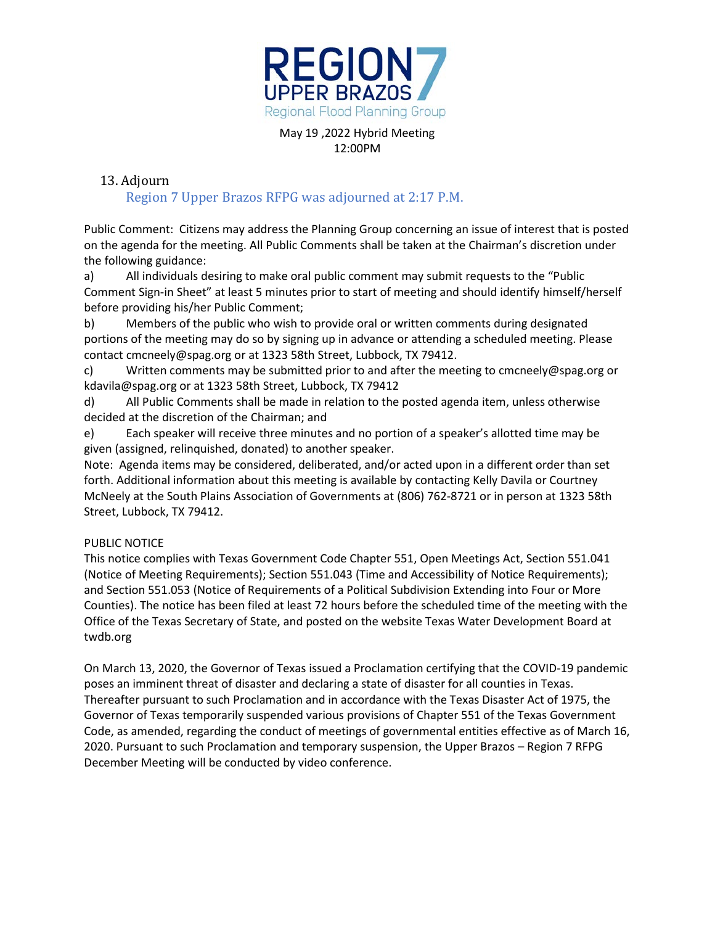

## 13. Adjourn

## Region 7 Upper Brazos RFPG was adjourned at 2:17 P.M.

Public Comment: Citizens may address the Planning Group concerning an issue of interest that is posted on the agenda for the meeting. All Public Comments shall be taken at the Chairman's discretion under the following guidance:

a) All individuals desiring to make oral public comment may submit requests to the "Public Comment Sign-in Sheet" at least 5 minutes prior to start of meeting and should identify himself/herself before providing his/her Public Comment;

b) Members of the public who wish to provide oral or written comments during designated portions of the meeting may do so by signing up in advance or attending a scheduled meeting. Please contact cmcneely@spag.org or at 1323 58th Street, Lubbock, TX 79412.

c) Written comments may be submitted prior to and after the meeting to cmcneely@spag.org or kdavila@spag.org or at 1323 58th Street, Lubbock, TX 79412

d) All Public Comments shall be made in relation to the posted agenda item, unless otherwise decided at the discretion of the Chairman; and

e) Each speaker will receive three minutes and no portion of a speaker's allotted time may be given (assigned, relinquished, donated) to another speaker.

Note: Agenda items may be considered, deliberated, and/or acted upon in a different order than set forth. Additional information about this meeting is available by contacting Kelly Davila or Courtney McNeely at the South Plains Association of Governments at (806) 762-8721 or in person at 1323 58th Street, Lubbock, TX 79412.

## PUBLIC NOTICE

This notice complies with Texas Government Code Chapter 551, Open Meetings Act, Section 551.041 (Notice of Meeting Requirements); Section 551.043 (Time and Accessibility of Notice Requirements); and Section 551.053 (Notice of Requirements of a Political Subdivision Extending into Four or More Counties). The notice has been filed at least 72 hours before the scheduled time of the meeting with the Office of the Texas Secretary of State, and posted on the website Texas Water Development Board at twdb.org

On March 13, 2020, the Governor of Texas issued a Proclamation certifying that the COVID-19 pandemic poses an imminent threat of disaster and declaring a state of disaster for all counties in Texas. Thereafter pursuant to such Proclamation and in accordance with the Texas Disaster Act of 1975, the Governor of Texas temporarily suspended various provisions of Chapter 551 of the Texas Government Code, as amended, regarding the conduct of meetings of governmental entities effective as of March 16, 2020. Pursuant to such Proclamation and temporary suspension, the Upper Brazos – Region 7 RFPG December Meeting will be conducted by video conference.